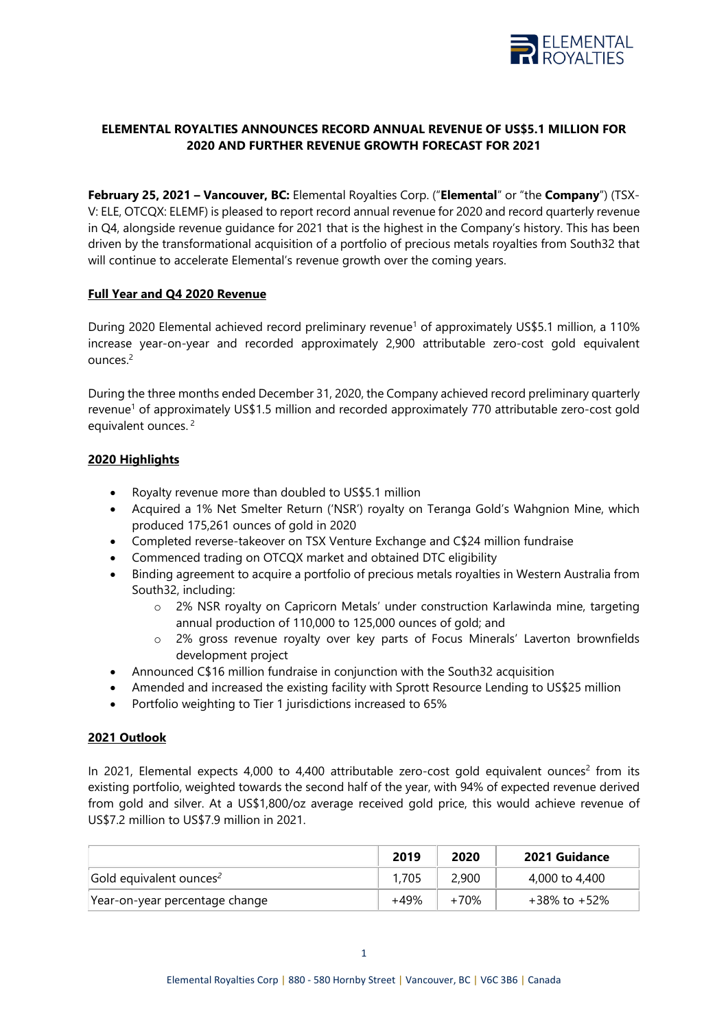

# **ELEMENTAL ROYALTIES ANNOUNCES RECORD ANNUAL REVENUE OF US\$5.1 MILLION FOR 2020 AND FURTHER REVENUE GROWTH FORECAST FOR 2021**

**February 25, 2021 – Vancouver, BC:** Elemental Royalties Corp. ("**Elemental**" or "the **Company**") (TSX-V: ELE, OTCQX: ELEMF) is pleased to report record annual revenue for 2020 and record quarterly revenue in Q4, alongside revenue guidance for 2021 that is the highest in the Company's history. This has been driven by the transformational acquisition of a portfolio of precious metals royalties from South32 that will continue to accelerate Elemental's revenue growth over the coming years.

# **Full Year and Q4 2020 Revenue**

During 2020 Elemental achieved record preliminary revenue<sup>1</sup> of approximately US\$5.1 million, a 110% increase year-on-year and recorded approximately 2,900 attributable zero-cost gold equivalent ounces.2

During the three months ended December 31, 2020, the Company achieved record preliminary quarterly revenue<sup>1</sup> of approximately US\$1.5 million and recorded approximately 770 attributable zero-cost gold equivalent ounces.<sup>2</sup>

# **2020 Highlights**

- Royalty revenue more than doubled to US\$5.1 million
- Acquired a 1% Net Smelter Return ('NSR') royalty on Teranga Gold's Wahgnion Mine, which produced 175,261 ounces of gold in 2020
- Completed reverse-takeover on TSX Venture Exchange and C\$24 million fundraise
- Commenced trading on OTCQX market and obtained DTC eligibility
- Binding agreement to acquire a portfolio of precious metals royalties in Western Australia from South32, including:
	- o 2% NSR royalty on Capricorn Metals' under construction Karlawinda mine, targeting annual production of 110,000 to 125,000 ounces of gold; and
	- o 2% gross revenue royalty over key parts of Focus Minerals' Laverton brownfields development project
- Announced C\$16 million fundraise in conjunction with the South32 acquisition
- Amended and increased the existing facility with Sprott Resource Lending to US\$25 million
- Portfolio weighting to Tier 1 jurisdictions increased to 65%

# **2021 Outlook**

In 2021, Elemental expects 4,000 to 4,400 attributable zero-cost gold equivalent ounces<sup>2</sup> from its existing portfolio, weighted towards the second half of the year, with 94% of expected revenue derived from gold and silver. At a US\$1,800/oz average received gold price, this would achieve revenue of US\$7.2 million to US\$7.9 million in 2021.

|                                     | 2019   | 2020   | <b>2021 Guidance</b> |
|-------------------------------------|--------|--------|----------------------|
| Gold equivalent ounces <sup>2</sup> | 1,705  | 2,900  | 4,000 to 4,400       |
| Year-on-year percentage change      | $+49%$ | $+70%$ | +38% to +52%         |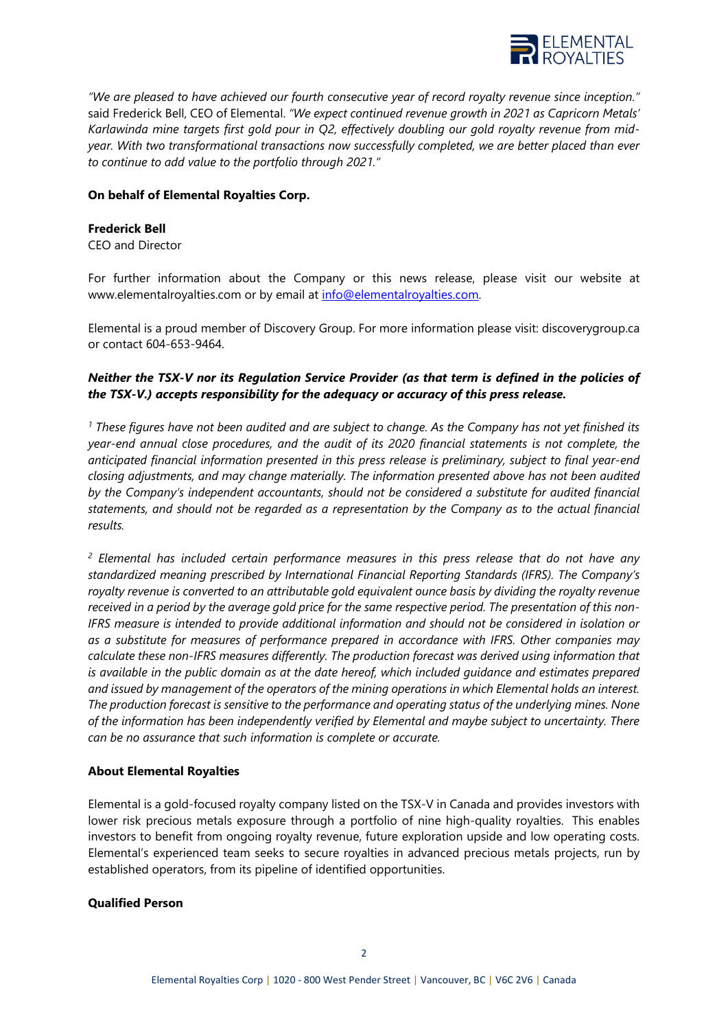

*"We are pleased to have achieved our fourth consecutive year of record royalty revenue since inception."* said Frederick Bell, CEO of Elemental. *"We expect continued revenue growth in 2021 as Capricorn Metals' Karlawinda mine targets first gold pour in Q2, effectively doubling our gold royalty revenue from midyear. With two transformational transactions now successfully completed, we are better placed than ever to continue to add value to the portfolio through 2021."*

# **On behalf of Elemental Royalties Corp.**

### **Frederick Bell**

CEO and Director

For further information about the Company or this news release, please visit our website at www.elementalroyalties.com or by email at [info@elementalroyalties.com.](mailto:info@elementalroyalties.com)

Elemental is a proud member of Discovery Group. For more information please visit: discoverygroup.ca or contact 604-653-9464.

# *Neither the TSX-V nor its Regulation Service Provider (as that term is defined in the policies of the TSX-V.) accepts responsibility for the adequacy or accuracy of this press release.*

*<sup>1</sup> These figures have not been audited and are subject to change. As the Company has not yet finished its year-end annual close procedures, and the audit of its 2020 financial statements is not complete, the anticipated financial information presented in this press release is preliminary, subject to final year-end closing adjustments, and may change materially. The information presented above has not been audited by the Company's independent accountants, should not be considered a substitute for audited financial statements, and should not be regarded as a representation by the Company as to the actual financial results.*

*<sup>2</sup> Elemental has included certain performance measures in this press release that do not have any standardized meaning prescribed by International Financial Reporting Standards (IFRS). The Company's royalty revenue is converted to an attributable gold equivalent ounce basis by dividing the royalty revenue received in a period by the average gold price for the same respective period. The presentation of this non-IFRS measure is intended to provide additional information and should not be considered in isolation or as a substitute for measures of performance prepared in accordance with IFRS. Other companies may calculate these non-IFRS measures differently. The production forecast was derived using information that is available in the public domain as at the date hereof, which included guidance and estimates prepared and issued by management of the operators of the mining operations in which Elemental holds an interest. The production forecast is sensitive to the performance and operating status of the underlying mines. None of the information has been independently verified by Elemental and maybe subject to uncertainty. There can be no assurance that such information is complete or accurate.*

# **About Elemental Royalties**

Elemental is a gold-focused royalty company listed on the TSX-V in Canada and provides investors with lower risk precious metals exposure through a portfolio of nine high-quality royalties. This enables investors to benefit from ongoing royalty revenue, future exploration upside and low operating costs. Elemental's experienced team seeks to secure royalties in advanced precious metals projects, run by established operators, from its pipeline of identified opportunities.

#### **Qualified Person**